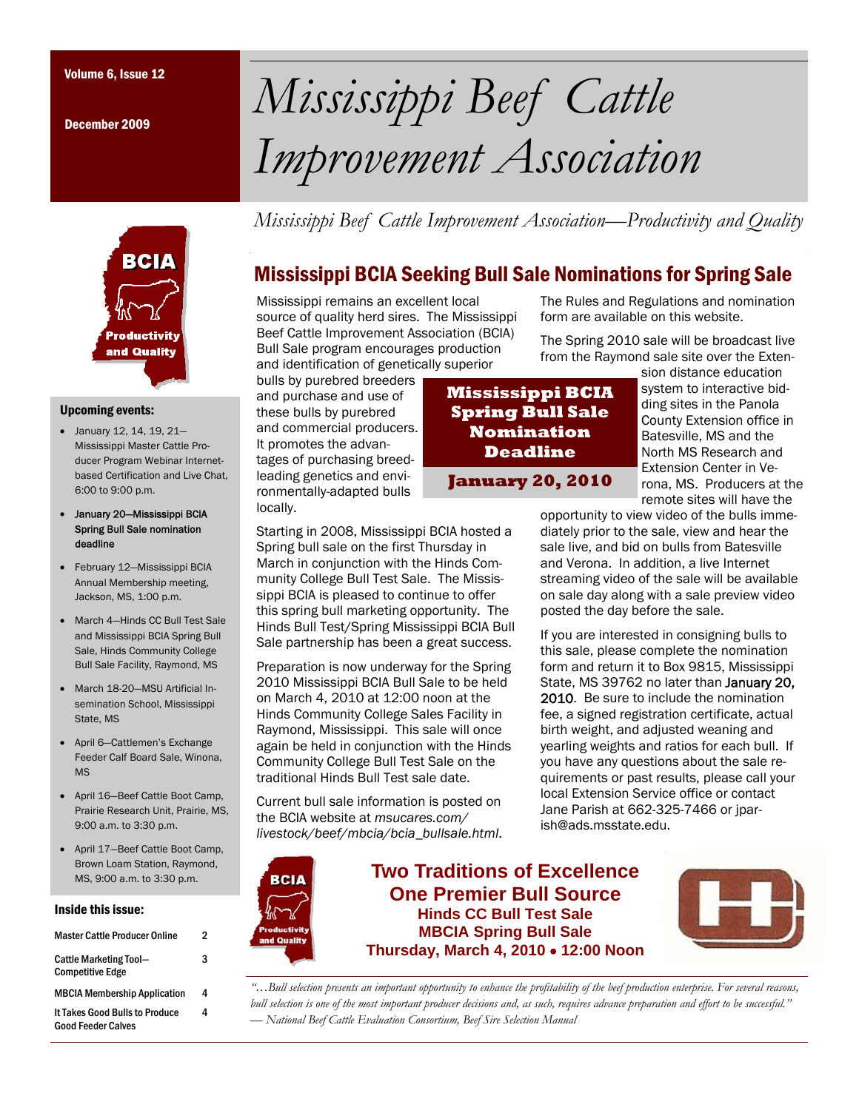December 2009



#### Upcoming events:

- January 12, 14, 19, 21— Mississippi Master Cattle Producer Program Webinar Internetbased Certification and Live Chat, 6:00 to 9:00 p.m.
- January 20—Mississippi BCIA Spring Bull Sale nomination deadline
- February 12—Mississippi BCIA Annual Membership meeting, Jackson, MS, 1:00 p.m.
- March 4—Hinds CC Bull Test Sale and Mississippi BCIA Spring Bull Sale, Hinds Community College Bull Sale Facility, Raymond, MS
- March 18-20—MSU Artificial Insemination School, Mississippi State, MS
- April 6—Cattlemen's Exchange Feeder Calf Board Sale, Winona, MS
- April 16—Beef Cattle Boot Camp, Prairie Research Unit, Prairie, MS, 9:00 a.m. to 3:30 p.m.
- April 17—Beef Cattle Boot Camp, Brown Loam Station, Raymond, MS, 9:00 a.m. to 3:30 p.m.

#### Inside this issue:

| <b>Master Cattle Producer Online</b>                        | 2 |
|-------------------------------------------------------------|---|
| <b>Cattle Marketing Tool-</b><br><b>Competitive Edge</b>    | 3 |
| <b>MBCIA Membership Application</b>                         | 4 |
| It Takes Good Bulls to Produce<br><b>Good Feeder Calves</b> | 4 |

# Volume 6, Issue 12 *Mississippi Beef Cattle Improvement Association*

*Mississippi Beef Cattle Improvement Association—Productivity and Quality* 

## Mississippi BCIA Seeking Bull Sale Nominations for Spring Sale

Mississippi remains an excellent local source of quality herd sires. The Mississippi Beef Cattle Improvement Association (BCIA) Bull Sale program encourages production and identification of genetically superior

bulls by purebred breeders and purchase and use of these bulls by purebred and commercial producers. It promotes the advantages of purchasing breedleading genetics and environmentally-adapted bulls locally.

**Mississippi BCIA Spring Bull Sale Nomination Deadline** 

**January 20, 2010** 

Starting in 2008, Mississippi BCIA hosted a Spring bull sale on the first Thursday in March in conjunction with the Hinds Community College Bull Test Sale. The Mississippi BCIA is pleased to continue to offer this spring bull marketing opportunity. The Hinds Bull Test/Spring Mississippi BCIA Bull Sale partnership has been a great success.

Preparation is now underway for the Spring 2010 Mississippi BCIA Bull Sale to be held on March 4, 2010 at 12:00 noon at the Hinds Community College Sales Facility in Raymond, Mississippi. This sale will once again be held in conjunction with the Hinds Community College Bull Test Sale on the traditional Hinds Bull Test sale date.

Current bull sale information is posted on the BCIA website at *msucares.com/ livestock/beef/mbcia/bcia\_bullsale.html*. ding sites in the Panola County Extension office in Batesville, MS and the North MS Research and Extension Center in Verona, MS. Producers at the remote sites will have the

sion distance education system to interactive bid-

opportunity to view video of the bulls immediately prior to the sale, view and hear the sale live, and bid on bulls from Batesville and Verona. In addition, a live Internet streaming video of the sale will be available on sale day along with a sale preview video posted the day before the sale.

The Rules and Regulations and nomination

The Spring 2010 sale will be broadcast live from the Raymond sale site over the Exten-

form are available on this website.

If you are interested in consigning bulls to this sale, please complete the nomination form and return it to Box 9815, Mississippi State, MS 39762 no later than January 20, 2010. Be sure to include the nomination fee, a signed registration certificate, actual birth weight, and adjusted weaning and yearling weights and ratios for each bull. If you have any questions about the sale requirements or past results, please call your local Extension Service office or contact Jane Parish at 662-325-7466 or jparish@ads.msstate.edu.



**Two Traditions of Excellence One Premier Bull Source Hinds CC Bull Test Sale MBCIA Spring Bull Sale Thursday, March 4, 2010** • **12:00 Noon** 



*"…Bull selection presents an important opportunity to enhance the profitability of the beef production enterprise. For several reasons, bull selection is one of the most important producer decisions and, as such, requires advance preparation and effort to be successful." — National Beef Cattle Evaluation Consortium, Beef Sire Selection Manual*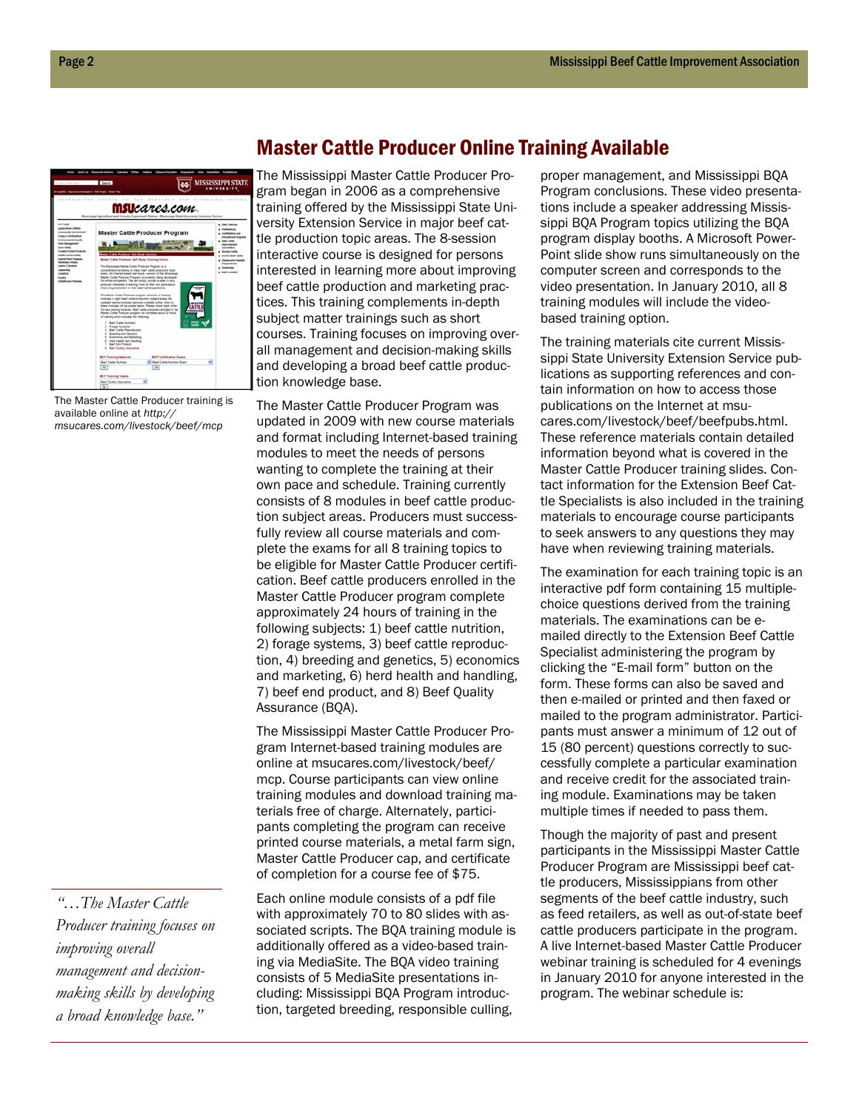

The Master Cattle Producer training is available online at *http:// msucares.com/livestock/beef/mcp*

*"…The Master Cattle Producer training focuses on improving overall management and decisionmaking skills by developing a broad knowledge base."* 

#### Master Cattle Producer Online Training Available

The Mississippi Master Cattle Producer Program began in 2006 as a comprehensive training offered by the Mississippi State University Extension Service in major beef cattle production topic areas. The 8-session interactive course is designed for persons interested in learning more about improving beef cattle production and marketing practices. This training complements in-depth subject matter trainings such as short courses. Training focuses on improving overall management and decision-making skills and developing a broad beef cattle production knowledge base.

The Master Cattle Producer Program was updated in 2009 with new course materials and format including Internet-based training modules to meet the needs of persons wanting to complete the training at their own pace and schedule. Training currently consists of 8 modules in beef cattle production subject areas. Producers must successfully review all course materials and complete the exams for all 8 training topics to be eligible for Master Cattle Producer certification. Beef cattle producers enrolled in the Master Cattle Producer program complete approximately 24 hours of training in the following subjects: 1) beef cattle nutrition, 2) forage systems, 3) beef cattle reproduction, 4) breeding and genetics, 5) economics and marketing, 6) herd health and handling, 7) beef end product, and 8) Beef Quality Assurance (BQA).

The Mississippi Master Cattle Producer Program Internet-based training modules are online at msucares.com/livestock/beef/ mcp. Course participants can view online training modules and download training materials free of charge. Alternately, participants completing the program can receive printed course materials, a metal farm sign, Master Cattle Producer cap, and certificate of completion for a course fee of \$75.

Each online module consists of a pdf file with approximately 70 to 80 slides with associated scripts. The BQA training module is additionally offered as a video-based training via MediaSite. The BQA video training consists of 5 MediaSite presentations including: Mississippi BQA Program introduction, targeted breeding, responsible culling,

proper management, and Mississippi BQA Program conclusions. These video presentations include a speaker addressing Mississippi BQA Program topics utilizing the BQA program display booths. A Microsoft Power-Point slide show runs simultaneously on the computer screen and corresponds to the video presentation. In January 2010, all 8 training modules will include the videobased training option.

The training materials cite current Mississippi State University Extension Service publications as supporting references and contain information on how to access those publications on the Internet at msucares.com/livestock/beef/beefpubs.html. These reference materials contain detailed information beyond what is covered in the Master Cattle Producer training slides. Contact information for the Extension Beef Cattle Specialists is also included in the training materials to encourage course participants to seek answers to any questions they may have when reviewing training materials.

The examination for each training topic is an interactive pdf form containing 15 multiplechoice questions derived from the training materials. The examinations can be emailed directly to the Extension Beef Cattle Specialist administering the program by clicking the "E-mail form" button on the form. These forms can also be saved and then e-mailed or printed and then faxed or mailed to the program administrator. Participants must answer a minimum of 12 out of 15 (80 percent) questions correctly to successfully complete a particular examination and receive credit for the associated training module. Examinations may be taken multiple times if needed to pass them.

Though the majority of past and present participants in the Mississippi Master Cattle Producer Program are Mississippi beef cattle producers, Mississippians from other segments of the beef cattle industry, such as feed retailers, as well as out-of-state beef cattle producers participate in the program. A live Internet-based Master Cattle Producer webinar training is scheduled for 4 evenings in January 2010 for anyone interested in the program. The webinar schedule is: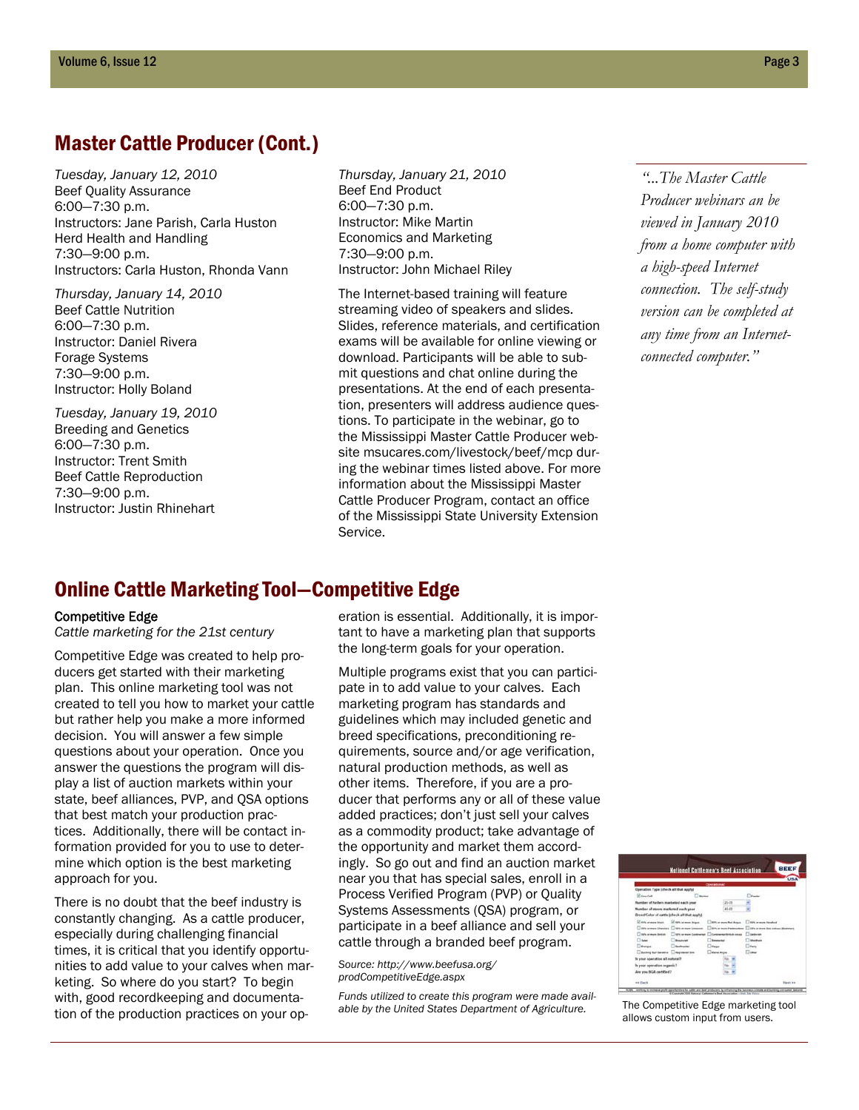## Master Cattle Producer (Cont.)

*Tuesday, January 12, 2010*  Beef Quality Assurance 6:00—7:30 p.m. Instructors: Jane Parish, Carla Huston Herd Health and Handling 7:30—9:00 p.m. Instructors: Carla Huston, Rhonda Vann

*Thursday, January 14, 2010*  Beef Cattle Nutrition 6:00—7:30 p.m. Instructor: Daniel Rivera Forage Systems 7:30—9:00 p.m. Instructor: Holly Boland

*Tuesday, January 19, 2010*  Breeding and Genetics 6:00—7:30 p.m. Instructor: Trent Smith Beef Cattle Reproduction 7:30—9:00 p.m. Instructor: Justin Rhinehart

*Thursday, January 21, 2010*  Beef End Product 6:00—7:30 p.m. Instructor: Mike Martin Economics and Marketing 7:30—9:00 p.m. Instructor: John Michael Riley

The Internet-based training will feature streaming video of speakers and slides. Slides, reference materials, and certification exams will be available for online viewing or download. Participants will be able to submit questions and chat online during the presentations. At the end of each presentation, presenters will address audience questions. To participate in the webinar, go to the Mississippi Master Cattle Producer website msucares.com/livestock/beef/mcp during the webinar times listed above. For more information about the Mississippi Master Cattle Producer Program, contact an office of the Mississippi State University Extension Service.

*"...The Master Cattle Producer webinars an be viewed in January 2010 from a home computer with a high-speed Internet connection. The self-study version can be completed at any time from an Internetconnected computer."* 

### Online Cattle Marketing Tool—Competitive Edge

#### Competitive Edge

*Cattle marketing for the 21st century*

Competitive Edge was created to help producers get started with their marketing plan. This online marketing tool was not created to tell you how to market your cattle but rather help you make a more informed decision. You will answer a few simple questions about your operation. Once you answer the questions the program will display a list of auction markets within your state, beef alliances, PVP, and QSA options that best match your production practices. Additionally, there will be contact information provided for you to use to determine which option is the best marketing approach for you.

There is no doubt that the beef industry is constantly changing. As a cattle producer, especially during challenging financial times, it is critical that you identify opportunities to add value to your calves when marketing. So where do you start? To begin with, good recordkeeping and documentation of the production practices on your operation is essential. Additionally, it is important to have a marketing plan that supports the long-term goals for your operation.

Multiple programs exist that you can participate in to add value to your calves. Each marketing program has standards and guidelines which may included genetic and breed specifications, preconditioning requirements, source and/or age verification, natural production methods, as well as other items. Therefore, if you are a producer that performs any or all of these value added practices; don't just sell your calves as a commodity product; take advantage of the opportunity and market them accordingly. So go out and find an auction market near you that has special sales, enroll in a Process Verified Program (PVP) or Quality Systems Assessments (QSA) program, or participate in a beef alliance and sell your cattle through a branded beef program.

*Source: http://www.beefusa.org/ prodCompetitiveEdge.aspx* 

*Funds utilized to create this program were made available by the United States Department of Agriculture.* The Competitive Edge marketing tool



allows custom input from users.